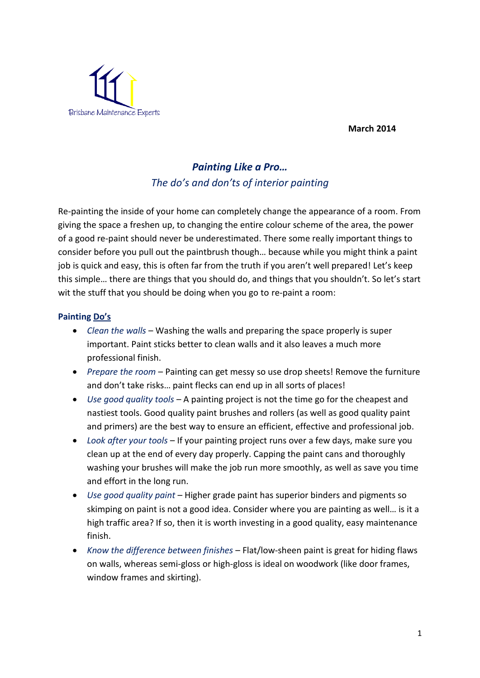**March 2014** 



## *Painting Like a Pro… The do's and don'ts of interior painting*

Re-painting the inside of your home can completely change the appearance of a room. From giving the space a freshen up, to changing the entire colour scheme of the area, the power of a good re-paint should never be underestimated. There some really important things to consider before you pull out the paintbrush though… because while you might think a paint job is quick and easy, this is often far from the truth if you aren't well prepared! Let's keep this simple… there are things that you should do, and things that you shouldn't. So let's start wit the stuff that you should be doing when you go to re-paint a room:

## **Painting Do's**

- *Clean the walls* Washing the walls and preparing the space properly is super important. Paint sticks better to clean walls and it also leaves a much more professional finish.
- *Prepare the room*  Painting can get messy so use drop sheets! Remove the furniture and don't take risks… paint flecks can end up in all sorts of places!
- *Use good quality tools* A painting project is not the time go for the cheapest and nastiest tools. Good quality paint brushes and rollers (as well as good quality paint and primers) are the best way to ensure an efficient, effective and professional job.
- *Look after your tools*  If your painting project runs over a few days, make sure you clean up at the end of every day properly. Capping the paint cans and thoroughly washing your brushes will make the job run more smoothly, as well as save you time and effort in the long run.
- *Use good quality paint*  Higher grade paint has superior binders and pigments so skimping on paint is not a good idea. Consider where you are painting as well… is it a high traffic area? If so, then it is worth investing in a good quality, easy maintenance finish.
- *Know the difference between finishes*  Flat/low-sheen paint is great for hiding flaws on walls, whereas semi-gloss or high-gloss is ideal on woodwork (like door frames, window frames and skirting).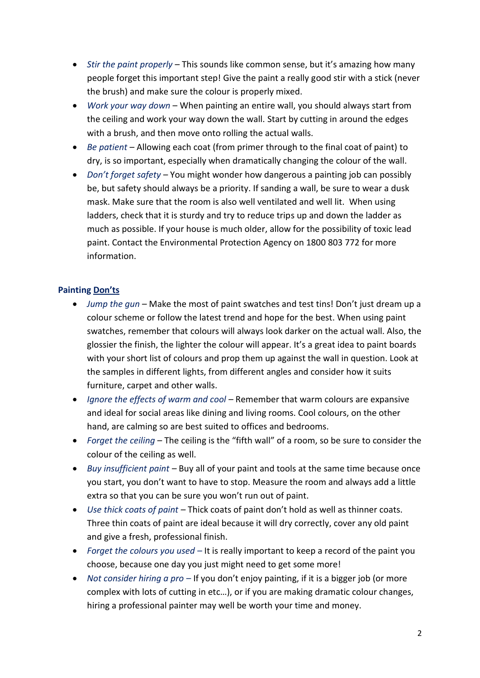- *Stir the paint properly*  This sounds like common sense, but it's amazing how many people forget this important step! Give the paint a really good stir with a stick (never the brush) and make sure the colour is properly mixed.
- *Work your way down*  When painting an entire wall, you should always start from the ceiling and work your way down the wall. Start by cutting in around the edges with a brush, and then move onto rolling the actual walls.
- *Be patient* Allowing each coat (from primer through to the final coat of paint) to dry, is so important, especially when dramatically changing the colour of the wall.
- *Don't forget safety*  You might wonder how dangerous a painting job can possibly be, but safety should always be a priority. If sanding a wall, be sure to wear a dusk mask. Make sure that the room is also well ventilated and well lit. When using ladders, check that it is sturdy and try to reduce trips up and down the ladder as much as possible. If your house is much older, allow for the possibility of toxic lead paint. Contact the Environmental Protection Agency on 1800 803 772 for more information.

## **Painting Don'ts**

- *Jump the gun* Make the most of paint swatches and test tins! Don't just dream up a colour scheme or follow the latest trend and hope for the best. When using paint swatches, remember that colours will always look darker on the actual wall. Also, the glossier the finish, the lighter the colour will appear. It's a great idea to paint boards with your short list of colours and prop them up against the wall in question. Look at the samples in different lights, from different angles and consider how it suits furniture, carpet and other walls.
- *Ignore the effects of warm and cool* Remember that warm colours are expansive and ideal for social areas like dining and living rooms. Cool colours, on the other hand, are calming so are best suited to offices and bedrooms.
- *Forget the ceiling –* The ceiling is the "fifth wall" of a room, so be sure to consider the colour of the ceiling as well.
- *Buy insufficient paint –* Buy all of your paint and tools at the same time because once you start, you don't want to have to stop. Measure the room and always add a little extra so that you can be sure you won't run out of paint.
- *Use thick coats of paint –* Thick coats of paint don't hold as well as thinner coats. Three thin coats of paint are ideal because it will dry correctly, cover any old paint and give a fresh, professional finish.
- *Forget the colours you used –* It is really important to keep a record of the paint you choose, because one day you just might need to get some more!
- *Not consider hiring a pro –* If you don't enjoy painting, if it is a bigger job (or more complex with lots of cutting in etc…), or if you are making dramatic colour changes, hiring a professional painter may well be worth your time and money.